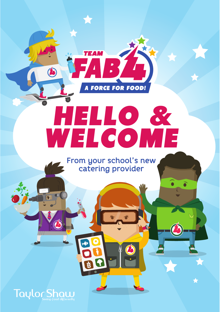

# HELLO & HELLO & WELCOME

From your school's new catering provider



4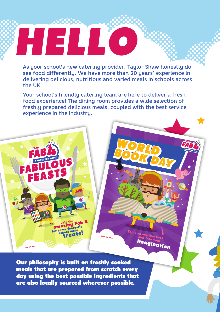As your school's new catering provider, Taylor Shaw honestly do see food differently. We have more than 20 years' experience in delivering delicious, nutritious and varied meals in schools across the UK.

HELLO

Your school's friendly catering team are here to deliver a fresh food experience! The dining room provides a wide selection of freshly prepared delicious meals, coupled with the best service experience in the industry.



Our philosophy is built on freshly cooked meals that are prepared from scratch every day using the best possible ingredients that are also locally sourced wherever possible.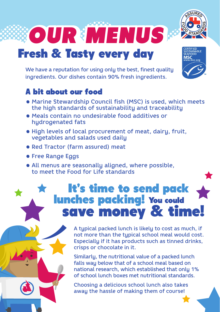

### **Fresh & Tasty every day**

We have a reputation for using only the best, finest quality ingredients. Our dishes contain 90% fresh ingredients.



- Marine Stewardship Council fish (MSC) is used, which meets the high standards of sustainability and traceability
- Meals contain no undesirable food additives or hydrogenated fats
- High levels of local procurement of meat, dairy, fruit, vegetables and salads used daily
- Red Tractor (farm assured) meat
- Free Range Eggs
- All menus are seasonally aligned, where possible, to meet the Food for Life standards

#### It's time to send pack lunches packing! You could save money & time!

A typical packed lunch is likely to cost as much, if not more than the typical school meal would cost. Especially if it has products such as tinned drinks, crisps or chocolate in it.

Similarly, the nutritional value of a packed lunch falls way below that of a school meal based on national research, which established that only 1% of school lunch boxes met nutritional standards.

Choosing a delicious school lunch also takes away the hassle of making them of course!